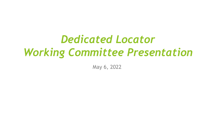# *Dedicated Locator Working Committee Presentation*

May 6, 2022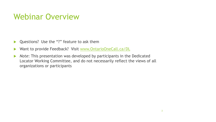### Webinar Overview

- ▶ Questions? Use the "?" feature to ask them
- ▶ Want to provide Feedback? Visit [www.OntarioOneCall.ca/DL](http://www.ontarioonecall.ca/DL)
- **Note:** This presentation was developed by participants in the Dedicated Locator Working Committee, and do not necessarily reflect the views of all organizations or participants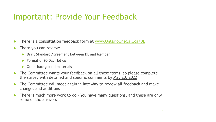## Important: Provide Your Feedback

- There is a consultation feedback form at [www.OntarioOneCall.ca/DL](http://www.ontarioonecall.ca/DL)
- There you can review:
	- **Draft Standard Agreement between DL and Member**
	- **Format of 90 Day Notice**
	- ▶ Other background materials
- The Committee wants your feedback on all these items, so please complete the survey with detailed and specific comments by May 20, 2022
- The Committee will meet again in late May to review all feedback and make changes and additions
- There is much more work to do You have many questions, and these are only some of the answers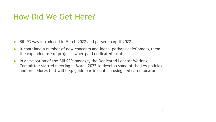## How Did We Get Here?

- ▶ Bill 93 was introduced in March 2022 and passed in April 2022
- It contained a number of new concepts and ideas, perhaps chief among them the expanded use of project owner-paid dedicated locator
- ▶ In anticipation of the Bill 93's passage, the Dedicated Locator Working Committee started meeting in March 2022 to develop some of the key policies and procedures that will help guide participants in using dedicated locator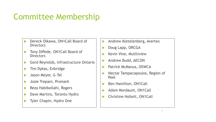# Committee Membership

- Dereck Oikawa, ON1Call Board of **Directors**
- Tony DiPede, ON1Call Board of **Directors**
- Gord Reynolds, Infrastructure Ontario
- Tim Dykas, Enbridge
- Jason Meyer, G-Tel
- Josie Trepani, Promark
- **Reza Habibollahi, Rogers**
- Dave Martins, Toronto Hydro
- Tyler Chapin, Hydro One
- Andrew Kottelenberg, Avertex
- Doug Lapp, ORCGA
- Kevin Vine, Mutltiview
- Andrew Budd, AECON
- Patrick McManus, OSWCA
- Nectar Tampacopoulos, Region of Peel
- Ben Hamilton, ON1Call
- Adam Mordaunt, ON1Call
- Christine Hollett, ON1Call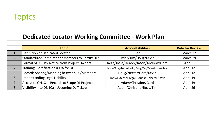# Topics

|                | <b>Dedicated Locator Working Committee - Work Plan</b> |                                                 |                        |
|----------------|--------------------------------------------------------|-------------------------------------------------|------------------------|
|                | <b>Topic</b>                                           | <b>Accountabilities</b>                         | <b>Date for Review</b> |
|                | Definition of Dedicated Locator                        | <b>Ben</b>                                      | March 22               |
| $\overline{2}$ | Standardized Template for Members to Certify DL's      | Tyler/Tim/Doug/Kevin                            | March 29               |
| $\overline{3}$ | Format of 90-Day Notice from Project Owners            | Reza/Josie/Dereck/Jason/Andrew/Gord             | April 5                |
| $\overline{4}$ | Training, Certification & QA for DL                    | Jason/Tony/Dave/Kevin/Doug/Tim/Tyler/Josie/Adam | April 12               |
| 5              | <b>Records Sharing/Mapping between DL/Members</b>      | Doug/Nectar/Gord/Kevin                          | April 12               |
| 6              | <b>Understanding Legal Liability</b>                   | Tony/External Legal Counsel/Nectar/Dave         | April 19               |
| 7              | Access to ON1Call Records to Scope DL Projects         | Adam/Christine/Gord                             | April 19               |
| 8              | Visibility into ON1Call Upcoming DL Tickets            | Adam/Christine/Reza/Tim                         | April 26               |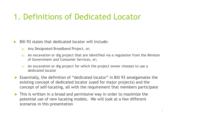## 1. Definitions of Dedicated Locator

- Bill 93 states that dedicated locator will include:
	- a) Any Designated Broadband Project, or;
	- b) An excavation or dig project that are identified via a regulation from the Minister of Government and Consumer Services, or;
	- c) An excavation or dig project for which the project owner chooses to use a dedicated locator
- Essentially, the definition of "dedicated locator" in Bill 93 amalgamates the existing concept of dedicated locator (used for major projects) and the concept of self-locating, all with the requirement that members participate
- This is written in a broad and permissive way in order to maximize the potential use of new locating models. We will look at a few different scenarios in this presentation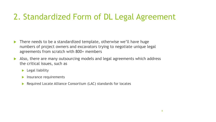## 2. Standardized Form of DL Legal Agreement

- ▶ There needs to be a standardized template, otherwise we'll have huge numbers of project owners and excavators trying to negotiate unique legal agreements from scratch with 800+ members
- Also, there are many outsourcing models and legal agreements which address the critical issues, such as
	- $\blacktriangleright$  Legal liability
	- $\blacktriangleright$  Insurance requirements
	- ▶ Required Locate Alliance Consortium (LAC) standards for locates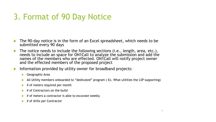# 3. Format of 90 Day Notice

- The 90-day notice is in the form of an Excel spreadsheet, which needs to be submitted every 90 days
- The notice needs to include the following sections (i.e., length, area, etc.), needs to include an space for ON1Call to analyze the submission and add the names of the members who are effected. ON1Call will notify project owner and the effected members of the proposed project
- Information provided by utility owner for broadband projects:
	- ▶ Geographic Area
	- All Utility members onboarded to "dedicated" program ( Ex. What utilities the LSP supporting)
	- $\blacktriangleright$  # of meters required per month
	- $\blacktriangleright$  # of Contractors on the build
	- # of meters a contractor is able to excavate weekly
	- $\blacktriangleright$  # of drills per Contractor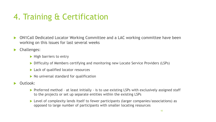# 4. Training & Certification

- ON1Call Dedicated Locator Working Committee and a LAC working committee have been working on this issues for last several weeks
- **De** Challenges:
	- $\blacktriangleright$  High barriers to entry
	- ▶ Difficulty of Members certifying and monitoring new Locate Service Providers (LSPs)
	- ▶ Lack of qualified locator resources
	- $\triangleright$  No universal standard for qualification
- Outlook:
	- ▶ Preferred method at least initially is to use existing LSPs with exclusively assigned staff to the projects or set up separate entities within the existing LSPs
	- ▶ Level of complexity lends itself to fewer participants (larger companies/associations) as opposed to large number of participants with smaller locating resources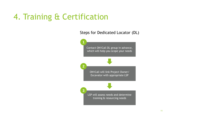## 4. Training & Certification

Steps for Dedicated Locator (DL)

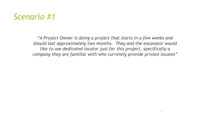#### *Scenario #1*

*"A Project Owner is doing a project that starts in a few weeks and should last approximately two months. They and the excavator would like to use dedicated locator just for this project, specifically a company they are familiar with who currently provide private locates"*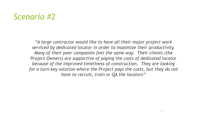#### *Scenario #2*

*"A large contractor would like to have all their major project work serviced by dedicated locator in order to maximize their productivity. Many of their peer companies feel the same way. Their clients (the Project Owners) are supportive of paying the costs of dedicated locator because of the improved timeliness of construction. They are looking for a turn-key solution where the Project pays the costs, but they do not have to recruit, train or QA the locators"*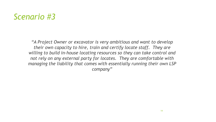#### *Scenario #3*

*"A Project Owner or excavator is very ambitious and want to develop their own capacity to hire, train and certify locate staff. They are willing to build in-house locating resources so they can take control and not rely on any external party for locates. They are comfortable with managing the liability that comes with essentially running their own LSP company"*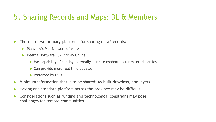#### 5. Sharing Records and Maps: DL & Members

There are two primary platforms for sharing data/records:

- **Planview's Multiviewer software**
- **Internal software ESRI ArcGIS Online:** 
	- Has capability of sharing externally create credentials for external parties
	- ▶ Can provide more real time updates
	- Preferred by LSPs
- Minimum information that is to be shared: As-built drawings, and layers
- Having one standard platform across the province may be difficult
- ▶ Considerations such as funding and technological constrains may pose challenges for remote communities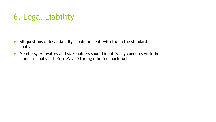# 6. Legal Liability

- All questions of legal liability should be dealt with the in the standard contract
- Members, excavators and stakeholders should identify any concerns with the standard contract before May 20 through the feedback tool.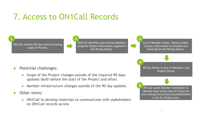# 7. Access to ON1Call Records

ON1Call receives 90 day notice including scope of Project.

**1**

ON1Call identifies and informs Members using the Project information supplied in the 90 day Notice. **2**

List of Member names, Station Codes, Contact information is included as a third tab on the 90 Day Notice.

**3**

**4**

Potential challenges:

- $\triangleright$  Scope of the Project changes outside of the required 90 days updates (both before the start of the Project and after)
- Member infrastructure changes outside of the 90 day updates
- Other items:
	- ▶ ON1Call to develop materials to communicate with stakeholders on ON1Call records access

Project Owner. ON1Call audits Member Notification 21 calendar days before start of Project for new underground infrastructure/Members in the DL Project area. **5**

90 Day Notice is sent to Members, and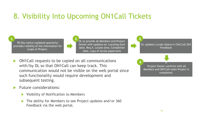#### 8. Visibility Into Upcoming ON1Call Tickets

90 Day notice (updated quarterly) provides visibility of the information for scope of Project.

**1**

DL to provide all Members and Project Owner with updates on: Locating start date, Req.#, Locate area, Completion date, copy of locate paperwork **2**

DL updates Locate Status in ON1Call *360 Feedback* 

P Project Owner confirms with all Members and ON1Call when Project is completed.

**3**

**4**

- ON1Call requests to be copied on all communications with/by DL so that ON1Call can keep track. This communication would not be visible on the web portal since such functionality would require development and subsequent testing.
- Future considerations:
	- ▶ Visibility of Notification to Members
	- ▶ The ability for Members to see Project updates and/or 360 Feedback via the web portal.